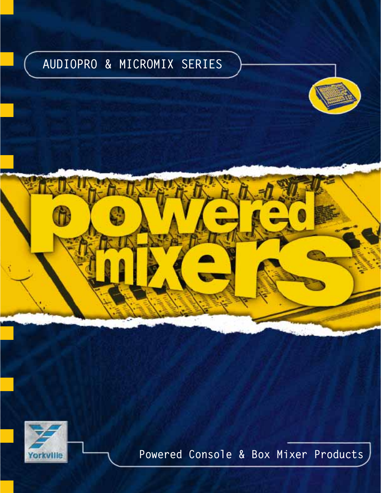# AUDIOPRO & MICROMIX SERIES





Powered Console & Box Mixer Products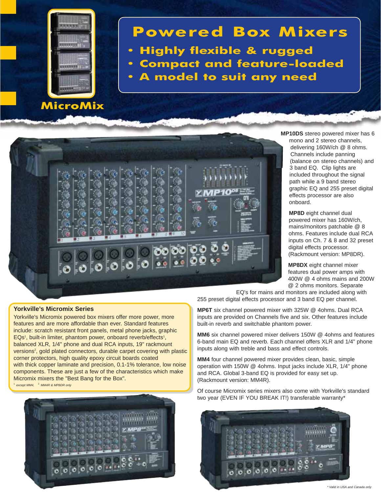

MicroMix

# Powered Box Mixers

- Highly flexible & rugged
- Compact and feature-loaded
- A model to suit any need



#### **Yorkville's Micromix Series**

Yorkville's Micromix powered box mixers offer more power, more features and are more affordable than ever. Standard features include: scratch resistant front panels, metal phone jacks, graphic EQs<sup>1</sup>, built-in limiter, phantom power, onboard reverb/effects<sup>1</sup>, balanced XLR, 1/4" phone and dual RCA inputs, 19" rackmount versions<sup>2</sup>, gold plated connectors, durable carpet covering with plastic corner protectors, high quality epoxy circuit boards coated with thick copper laminate and precision, 0.1-1% tolerance, low noise components. These are just a few of the characteristics which make Micromix mixers the "Best Bang for the Box". except MM4, <sup>2</sup> MM4R & MP8DR only



**MP10DS** stereo powered mixer has 6 mono and 2 stereo channels, delivering 160W/ch @ 8 ohms. Channels include panning (balance on stereo channels) and 3 band EQ. Clip lights are included throughout the signal path while a 9 band stereo graphic EQ and 255 preset digital effects processor are also onboard.

**MP8D** eight channel dual powered mixer has 160W/ch, mains/monitors patchable @ 8 ohms. Features include dual RCA inputs on Ch. 7 & 8 and 32 preset digital effects processor. (Rackmount version: MP8DR).

**MP8DX** eight channel mixer features dual power amps with 400W @ 4 ohms mains and 200W @ 2 ohms monitors. Separate

EQ's for mains and monitors are included along with 255 preset digital effects processor and 3 band EQ per channel.

**MP6T** six channel powered mixer with 325W @ 4ohms. Dual RCA inputs are provided on Channels five and six. Other features include built-in reverb and switchable phantom power.

**MM6** six channel powered mixer delivers 150W @ 4ohms and features 6-band main EQ and reverb. Each channel offers XLR and 1/4" phone inputs along with treble and bass and effect controls.

**MM4** four channel powered mixer provides clean, basic, simple operation with 150W @ 4ohms. Input jacks include XLR, 1/4" phone and RCA. Global 3-band EQ is provided for easy set up. (Rackmount version: MM4R).

Of course Micromix series mixers also come with Yorkville's standard two year (EVEN IF YOU BREAK IT!) transferable warranty\*

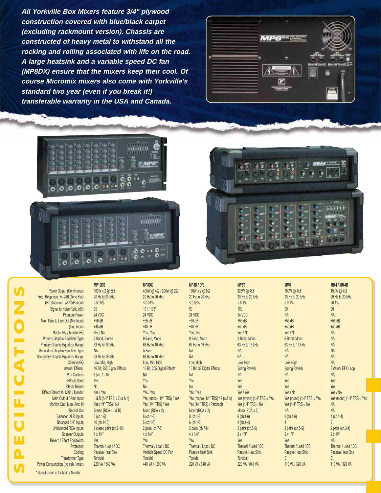**All Yorkville Box Mixers feature 3/4" plywood construction covered with blue/black carpet (excluding rackmount version). Chassis are constructed of heavy metal to withstand all the rocking and rolling associated with life on the road. A large heatsink and a variable speed DC fan (MP8DX) ensure that the mixers keep their cool. Of course Micromix mixers also come with Yorkville's standard two year (even if you break it!) transferable warranty in the USA and Canada.**









SPECIFICATIONS ZOIOI u. ш Δ  $\boldsymbol{0}$ 

Freq. Response, +/- 2dB (Tone Flat): 20 Hz to 20 kHz 20 Hz to 20 kHz 20 Hz to 20 kHz 20 Hz to 20 kHz 20 Hz to 20 kHz 20 Hz to 20 kHz \* Specification is for Main / Monitor

Main Output / Amp Input: L & R (1/4" TRS) / 2 (a & b) Yes (mono) (1/4" TRS) / Yes Yes (mono) (1/4" TRS) / 2 (a & b)

MP10DS MP8DX MP8D / DR MP6T MM6 MM4 / MM4R Power Output (Continuous): 160W x 2 @ 8Ω 100W @ 4Ω / 200W @ 2Ω\* 160W x 2 @ 8Ω 325W @ 4Ω 150W @ 4Ω 150W @ 4Ω 150W @ 4Ω<br>Power Al- 2dB (Tone Flat): 20 Hz to 20 kHz 20 Hz to 20 kHz 20 Hz to 20 Hz to 20 Hz to 20 Hz to 20 Hz to THD (Main out w/-10dB input): < 0.05% < 0.01% < 0.05% < 0.1% < 0.1% <0.1% Signal to Noise Ratio (dB): 90 101 / 105\* 90 100 90 90 Phantom Power: 24 VDC 24 VDC 24 VDC 24 VDC NA NA Max. Gain to Line Out (Mic Input): +56 dB +55 dB +55 dB +55 dB +55 dB +55 dB +55 dB +55 dB +55 dB +55 dB +55 dB (Line Input): +45 dB +40 dB +40 dB +40 dB +40 dB +40 dB Master EQ / Monitor EQ: Yes / No Yes / Yes Yes / No Yes / No Yes / No NA Primary Graphic Equalizer Type: 9 Band, Stereo 9 Band, Mono 9 Band, Mono 9 Band, Mono 6 Band, Mono NA Primary Graphic Equalizer Range: 63 Hz to 16 kHz 63 Hz to 16 kHz 63 Hz to 16 kHz 63 Hz to 16 kHz 63 Hz to 16 kHz 63 Hz to 16 kHz Secondary Graphic Equalizer Type: NA 5 Band NA NA NA NA Secondary Graphic Equalizer Range: 63 Hz to 16 kHz 63 Hz to 16 kHz 63 Hz to 16 kHz NA NA NA NA NA NA NA NA NA NA<br>Channel EQ: Low, Mid, High 1999, Natal High NA NA Natal Natal Natal Natal Natal Natal Natal Natal NA NA NA NA Channel EQ: Low, Mid, High Low, Mid, High Low, High Low, High Low, High NA Internal Effects : 16 Bit; 255 Digital Effects 16 Bit; 255 Digital Effects 16 Bit; 32 Digital Effects Spring Reverb Spring Reverb Spring Reverb External EFX Loop Pan Controls: 8 (ch. 1 - 8) NA NA NA NA NA Effects Send: Yes Yes Yes Yes Yes Yes Effects Return: No No No Yes Yes Yes Effects Return to: Main / Monitor: Yes / Yes Yes / Yes Yes / Yes Yes / Yes Yes / No Yes / NA Monitor Out / Mon. Amp In: Yes (1/4" TRS) / NA Yes (1/4" TRS) / Yes Yes (1/4" TRS) / Patchable Yes (1/4" TRS) / NA Yes (1/4" TRS) / NA NA Record Out: Stereo (RCA - L & R) Mono (RCA x 2) Mono (RCA x 2) Mono (RCA x 2) Mono (RCA x 2) MONO (RCA x 2) NA Balanced XLR Inputs: 6 (ch.1-6) 8 (ch.1-8) 8 (ch.1-8) 6 (ch.1-6) 6 (ch.1-6) 4 (ch.1-4) Balanced 1/4" Inputs: 10 (ch.1-10) 6 (ch.1-6) 6 (ch.1-6) 2 Unbalanced RCA Inputs: 2 stereo pairs (ch.7-10) 2 pairs (ch.7-8) 2 pairs (ch.7-8) 2 pairs (ch.5-6) 2 pairs (ch.3-4)<br>
Speaker Outputs: 4 x 1/4" 4 x 1/4" 2 x 1/4" 2 x 1/4" 2 x 1/4" 2 x 1/4" 2 x 1/4" 2 x 1/4" 2 x 1/4" 2 x 1/4 Speaker Outputs: 4 x 1/4" 4 x 1/4" 4 x 1/4" 2 x 1/4" 2 x 1/4" 2 x 1/4" Reverb / Effect Footswitch: Yes NA<br>Protection: Thermal / Load / DC Thermal / Load / DC Thermal / Load / DC Thermal / Load / DC Thermal / Load / DC Thermal / Load / DC Thermal / Load / DC Thermal / Load / DC Thermal / Load Protection: Inermal / Load / DC Thermal / Load / DC Thermal / Load / DC Thermal / Load / DC Thermal / Load / DC Thermal / Load / DC Thermal / Load / DC Thermal / Load / DC Thermal / Load / DC Thermal / Load / DC Thermal / Cooling: Passive Heat Sink Variable Speed DC Fan Passive Heat Sink Passive Heat Sink Passive Heat Sink Passive Heat Sink Transformer Type: Toroidal the Constantine of the Constantine of the Constantine of the Constantine of the Const Power Consumption (typical) / (max): 220 VA / 640 VA 440 VA / 1200 VA 220 VA / 640 VA 220 VA / 640 VA 110 VA / 320 VA 110 VA / 320 VA